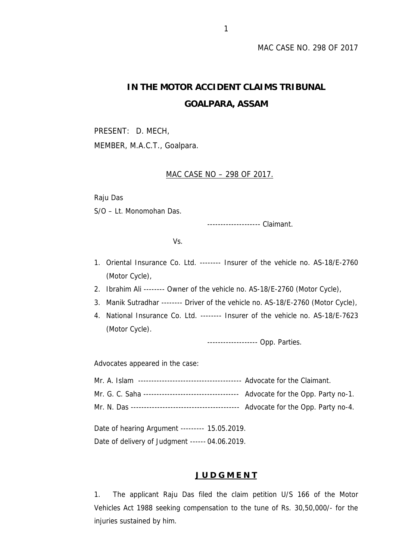# **IN THE MOTOR ACCIDENT CLAIMS TRIBUNAL GOALPARA, ASSAM**

PRESENT: D. MECH, MEMBER, M.A.C.T., Goalpara.

# MAC CASE NO – 298 OF 2017.

Raju Das

S/O – Lt. Monomohan Das.

-------------------- Claimant.

Vs.

- 1. Oriental Insurance Co. Ltd. -------- Insurer of the vehicle no. AS-18/E-2760 (Motor Cycle),
- 2. Ibrahim Ali -------- Owner of the vehicle no. AS-18/E-2760 (Motor Cycle),
- 3. Manik Sutradhar -------- Driver of the vehicle no. AS-18/E-2760 (Motor Cycle),
- 4. National Insurance Co. Ltd. -------- Insurer of the vehicle no. AS-18/E-7623 (Motor Cycle).

------------------- Opp. Parties.

Advocates appeared in the case:

| Date of hearing Argument --------- 15.05.2019. |  |  |
|------------------------------------------------|--|--|

Date of delivery of Judgment ------ 04.06.2019.

## **J U D G M E N T**

1. The applicant Raju Das filed the claim petition U/S 166 of the Motor Vehicles Act 1988 seeking compensation to the tune of Rs. 30,50,000/- for the injuries sustained by him.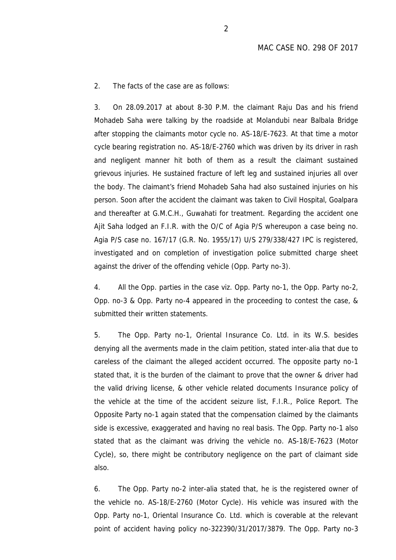2. The facts of the case are as follows:

3. On 28.09.2017 at about 8-30 P.M. the claimant Raju Das and his friend Mohadeb Saha were talking by the roadside at Molandubi near Balbala Bridge after stopping the claimants motor cycle no. AS-18/E-7623. At that time a motor cycle bearing registration no. AS-18/E-2760 which was driven by its driver in rash and negligent manner hit both of them as a result the claimant sustained grievous injuries. He sustained fracture of left leg and sustained injuries all over the body. The claimant's friend Mohadeb Saha had also sustained injuries on his person. Soon after the accident the claimant was taken to Civil Hospital, Goalpara and thereafter at G.M.C.H., Guwahati for treatment. Regarding the accident one Ajit Saha lodged an F.I.R. with the O/C of Agia P/S whereupon a case being no. Agia P/S case no. 167/17 (G.R. No. 1955/17) U/S 279/338/427 IPC is registered, investigated and on completion of investigation police submitted charge sheet against the driver of the offending vehicle (Opp. Party no-3).

4. All the Opp. parties in the case viz. Opp. Party no-1, the Opp. Party no-2, Opp. no-3 & Opp. Party no-4 appeared in the proceeding to contest the case, & submitted their written statements.

5. The Opp. Party no-1, Oriental Insurance Co. Ltd. in its W.S. besides denying all the averments made in the claim petition, stated inter-alia that due to careless of the claimant the alleged accident occurred. The opposite party no-1 stated that, it is the burden of the claimant to prove that the owner & driver had the valid driving license, & other vehicle related documents Insurance policy of the vehicle at the time of the accident seizure list, F.I.R., Police Report. The Opposite Party no-1 again stated that the compensation claimed by the claimants side is excessive, exaggerated and having no real basis. The Opp. Party no-1 also stated that as the claimant was driving the vehicle no. AS-18/E-7623 (Motor Cycle), so, there might be contributory negligence on the part of claimant side also.

6. The Opp. Party no-2 inter-alia stated that, he is the registered owner of the vehicle no. AS-18/E-2760 (Motor Cycle). His vehicle was insured with the Opp. Party no-1, Oriental Insurance Co. Ltd. which is coverable at the relevant point of accident having policy no-322390/31/2017/3879. The Opp. Party no-3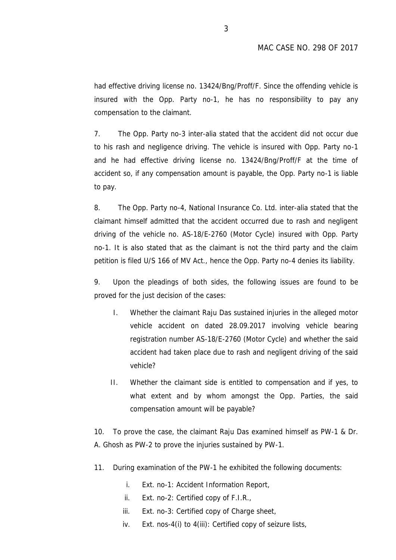had effective driving license no. 13424/Bng/Proff/F. Since the offending vehicle is insured with the Opp. Party no-1, he has no responsibility to pay any compensation to the claimant.

7. The Opp. Party no-3 inter-alia stated that the accident did not occur due to his rash and negligence driving. The vehicle is insured with Opp. Party no-1 and he had effective driving license no. 13424/Bng/Proff/F at the time of accident so, if any compensation amount is payable, the Opp. Party no-1 is liable to pay.

8. The Opp. Party no-4, National Insurance Co. Ltd. inter-alia stated that the claimant himself admitted that the accident occurred due to rash and negligent driving of the vehicle no. AS-18/E-2760 (Motor Cycle) insured with Opp. Party no-1. It is also stated that as the claimant is not the third party and the claim petition is filed U/S 166 of MV Act., hence the Opp. Party no-4 denies its liability.

9. Upon the pleadings of both sides, the following issues are found to be proved for the just decision of the cases:

- I. Whether the claimant Raju Das sustained injuries in the alleged motor vehicle accident on dated 28.09.2017 involving vehicle bearing registration number AS-18/E-2760 (Motor Cycle) and whether the said accident had taken place due to rash and negligent driving of the said vehicle?
- II. Whether the claimant side is entitled to compensation and if yes, to what extent and by whom amongst the Opp. Parties, the said compensation amount will be payable?

10. To prove the case, the claimant Raju Das examined himself as PW-1 & Dr. A. Ghosh as PW-2 to prove the injuries sustained by PW-1.

- 11. During examination of the PW-1 he exhibited the following documents:
	- i. Ext. no-1: Accident Information Report,
	- ii. Ext. no-2: Certified copy of F.I.R.,
	- iii. Ext. no-3: Certified copy of Charge sheet,
	- iv. Ext. nos-4(i) to 4(iii): Certified copy of seizure lists,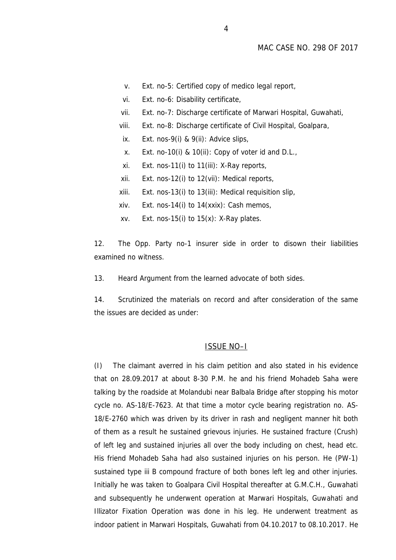- v. Ext. no-5: Certified copy of medico legal report,
- vi. Ext. no-6: Disability certificate,
- vii. Ext. no-7: Discharge certificate of Marwari Hospital, Guwahati,
- viii. Ext. no-8: Discharge certificate of Civil Hospital, Goalpara,
- ix. Ext. nos-9(i) & 9(ii): Advice slips,
- x. Ext. no-10(i) & 10(ii): Copy of voter id and D.L.,
- xi. Ext. nos-11(i) to 11(iii): X-Ray reports,
- xii. Ext. nos-12(i) to 12(vii): Medical reports,
- xiii. Ext. nos-13(i) to 13(iii): Medical requisition slip,
- xiv. Ext. nos-14(i) to 14(xxix): Cash memos,
- xv. Ext. nos-15(i) to  $15(x)$ : X-Ray plates.

12. The Opp. Party no-1 insurer side in order to disown their liabilities examined no witness.

13. Heard Argument from the learned advocate of both sides.

14. Scrutinized the materials on record and after consideration of the same the issues are decided as under:

## ISSUE NO–I

(I) The claimant averred in his claim petition and also stated in his evidence that on 28.09.2017 at about 8-30 P.M. he and his friend Mohadeb Saha were talking by the roadside at Molandubi near Balbala Bridge after stopping his motor cycle no. AS-18/E-7623. At that time a motor cycle bearing registration no. AS- 18/E-2760 which was driven by its driver in rash and negligent manner hit both of them as a result he sustained grievous injuries. He sustained fracture (Crush) of left leg and sustained injuries all over the body including on chest, head etc. His friend Mohadeb Saha had also sustained injuries on his person. He (PW-1) sustained type iii B compound fracture of both bones left leg and other injuries. Initially he was taken to Goalpara Civil Hospital thereafter at G.M.C.H., Guwahati and subsequently he underwent operation at Marwari Hospitals, Guwahati and Illizator Fixation Operation was done in his leg. He underwent treatment as indoor patient in Marwari Hospitals, Guwahati from 04.10.2017 to 08.10.2017. He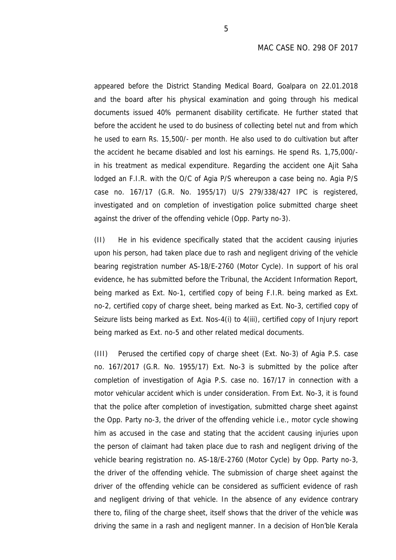appeared before the District Standing Medical Board, Goalpara on 22.01.2018 and the board after his physical examination and going through his medical documents issued 40% permanent disability certificate. He further stated that before the accident he used to do business of collecting betel nut and from which he used to earn Rs. 15,500/- per month. He also used to do cultivation but after the accident he became disabled and lost his earnings. He spend Rs. 1,75,000/ in his treatment as medical expenditure. Regarding the accident one Ajit Saha lodged an F.I.R. with the O/C of Agia P/S whereupon a case being no. Agia P/S case no. 167/17 (G.R. No. 1955/17) U/S 279/338/427 IPC is registered, investigated and on completion of investigation police submitted charge sheet against the driver of the offending vehicle (Opp. Party no-3).

(II) He in his evidence specifically stated that the accident causing injuries upon his person, had taken place due to rash and negligent driving of the vehicle bearing registration number AS-18/E-2760 (Motor Cycle). In support of his oral evidence, he has submitted before the Tribunal, the Accident Information Report, being marked as Ext. No-1, certified copy of being F.I.R. being marked as Ext. no-2, certified copy of charge sheet, being marked as Ext. No-3, certified copy of Seizure lists being marked as Ext. Nos-4(i) to 4(iii), certified copy of Injury report being marked as Ext. no-5 and other related medical documents.

(III) Perused the certified copy of charge sheet (Ext. No-3) of Agia P.S. case no. 167/2017 (G.R. No. 1955/17) Ext. No-3 is submitted by the police after completion of investigation of Agia P.S. case no. 167/17 in connection with a motor vehicular accident which is under consideration. From Ext. No-3, it is found that the police after completion of investigation, submitted charge sheet against the Opp. Party no-3, the driver of the offending vehicle i.e., motor cycle showing him as accused in the case and stating that the accident causing injuries upon the person of claimant had taken place due to rash and negligent driving of the vehicle bearing registration no. AS-18/E-2760 (Motor Cycle) by Opp. Party no-3, the driver of the offending vehicle. The submission of charge sheet against the driver of the offending vehicle can be considered as sufficient evidence of rash and negligent driving of that vehicle. In the absence of any evidence contrary there to, filing of the charge sheet, itself shows that the driver of the vehicle was driving the same in a rash and negligent manner. In a decision of Hon'ble Kerala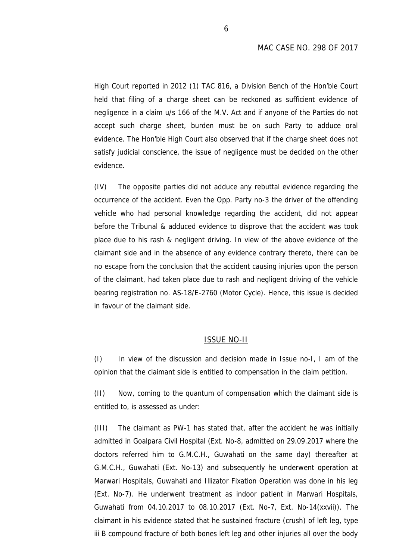High Court reported in 2012 (1) TAC 816, a Division Bench of the Hon'ble Court held that filing of a charge sheet can be reckoned as sufficient evidence of negligence in a claim u/s 166 of the M.V. Act and if anyone of the Parties do not accept such charge sheet, burden must be on such Party to adduce oral evidence. The Hon'ble High Court also observed that if the charge sheet does not satisfy judicial conscience, the issue of negligence must be decided on the other evidence.

(IV) The opposite parties did not adduce any rebuttal evidence regarding the occurrence of the accident. Even the Opp. Party no-3 the driver of the offending vehicle who had personal knowledge regarding the accident, did not appear before the Tribunal & adduced evidence to disprove that the accident was took place due to his rash & negligent driving. In view of the above evidence of the claimant side and in the absence of any evidence contrary thereto, there can be no escape from the conclusion that the accident causing injuries upon the person of the claimant, had taken place due to rash and negligent driving of the vehicle bearing registration no. AS-18/E-2760 (Motor Cycle). Hence, this issue is decided in favour of the claimant side.

#### ISSUE NO-II

(I) In view of the discussion and decision made in Issue no-I, I am of the opinion that the claimant side is entitled to compensation in the claim petition.

(II) Now, coming to the quantum of compensation which the claimant side is entitled to, is assessed as under:

(III) The claimant as PW-1 has stated that, after the accident he was initially admitted in Goalpara Civil Hospital (Ext. No-8, admitted on 29.09.2017 where the doctors referred him to G.M.C.H., Guwahati on the same day) thereafter at G.M.C.H., Guwahati (Ext. No-13) and subsequently he underwent operation at Marwari Hospitals, Guwahati and Illizator Fixation Operation was done in his leg (Ext. No-7). He underwent treatment as indoor patient in Marwari Hospitals, Guwahati from 04.10.2017 to 08.10.2017 (Ext. No-7, Ext. No-14(xxvii)). The claimant in his evidence stated that he sustained fracture (crush) of left leg, type iii B compound fracture of both bones left leg and other injuries all over the body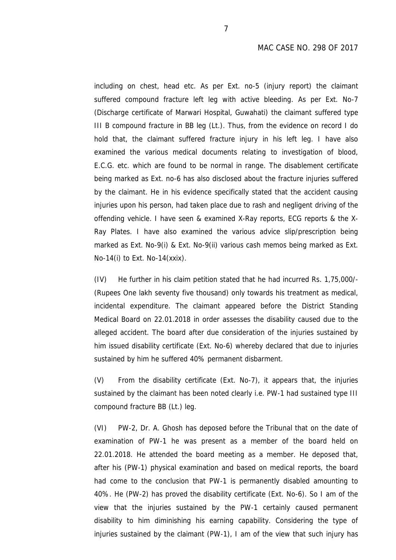including on chest, head etc. As per Ext. no-5 (injury report) the claimant suffered compound fracture left leg with active bleeding. As per Ext. No-7 (Discharge certificate of Marwari Hospital, Guwahati) the claimant suffered type III B compound fracture in BB leg (Lt.). Thus, from the evidence on record I do hold that, the claimant suffered fracture injury in his left leg. I have also examined the various medical documents relating to investigation of blood, E.C.G. etc. which are found to be normal in range. The disablement certificate being marked as Ext. no-6 has also disclosed about the fracture injuries suffered by the claimant. He in his evidence specifically stated that the accident causing injuries upon his person, had taken place due to rash and negligent driving of the offending vehicle. I have seen & examined X-Ray reports, ECG reports & the X- Ray Plates. I have also examined the various advice slip/prescription being marked as Ext. No-9(i) & Ext. No-9(ii) various cash memos being marked as Ext. No-14(i) to Ext. No-14(xxix).

(IV) He further in his claim petition stated that he had incurred Rs. 1,75,000/- (Rupees One lakh seventy five thousand) only towards his treatment as medical, incidental expenditure. The claimant appeared before the District Standing Medical Board on 22.01.2018 in order assesses the disability caused due to the alleged accident. The board after due consideration of the injuries sustained by him issued disability certificate (Ext. No-6) whereby declared that due to injuries sustained by him he suffered 40% permanent disbarment.

(V) From the disability certificate (Ext. No-7), it appears that, the injuries sustained by the claimant has been noted clearly i.e. PW-1 had sustained type III compound fracture BB (Lt.) leg.

(VI) PW-2, Dr. A. Ghosh has deposed before the Tribunal that on the date of examination of PW-1 he was present as a member of the board held on 22.01.2018. He attended the board meeting as a member. He deposed that, after his (PW-1) physical examination and based on medical reports, the board had come to the conclusion that PW-1 is permanently disabled amounting to 40%. He (PW-2) has proved the disability certificate (Ext. No-6). So I am of the view that the injuries sustained by the PW-1 certainly caused permanent disability to him diminishing his earning capability. Considering the type of injuries sustained by the claimant (PW-1), I am of the view that such injury has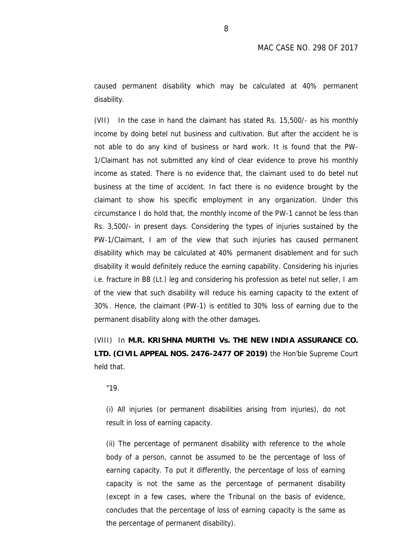caused permanent disability which may be calculated at 40% permanent disability.

(VII) In the case in hand the claimant has stated Rs. 15,500/- as his monthly income by doing betel nut business and cultivation. But after the accident he is not able to do any kind of business or hard work. It is found that the PW- 1/Claimant has not submitted any kind of clear evidence to prove his monthly income as stated. There is no evidence that, the claimant used to do betel nut business at the time of accident. In fact there is no evidence brought by the claimant to show his specific employment in any organization. Under this circumstance I do hold that, the monthly income of the PW-1 cannot be less than Rs. 3,500/- in present days. Considering the types of injuries sustained by the PW-1/Claimant, I am of the view that such injuries has caused permanent disability which may be calculated at 40% permanent disablement and for such disability it would definitely reduce the earning capability. Considering his injuries i.e. fracture in BB (Lt.) leg and considering his profession as betel nut seller, I am of the view that such disability will reduce his earning capacity to the extent of 30%. Hence, the claimant (PW-1) is entitled to 30% loss of earning due to the permanent disability along with the other damages.

(VIII) In **M.R. KRISHNA MURTHI Vs. THE NEW INDIA ASSURANCE CO. LTD. (CIVIL APPEAL NOS. 2476-2477 OF 2019)** the Hon'ble Supreme Court held that.

*"19.*

*(i) All injuries (or permanent disabilities arising from injuries), do not result in loss of earning capacity.*

*(ii) The percentage of permanent disability with reference to the whole body of a person, cannot be assumed to be the percentage of loss of earning capacity. To put it differently, the percentage of loss of earning capacity is not the same as the percentage of permanent disability (except in a few cases, where the Tribunal on the basis of evidence, concludes that the percentage of loss of earning capacity is the same as the percentage of permanent disability).*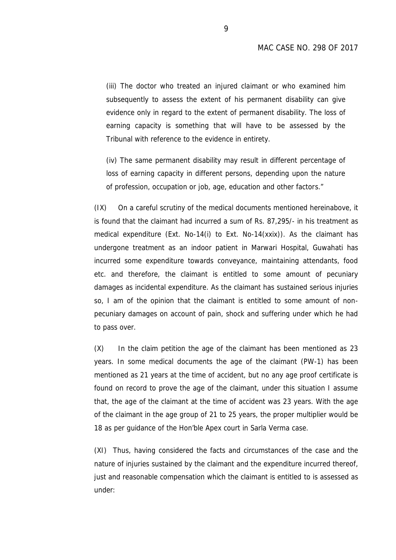*(iii) The doctor who treated an injured claimant or who examined him subsequently to assess the extent of his permanent disability can give evidence only in regard to the extent of permanent disability. The loss of earning capacity is something that will have to be assessed by the Tribunal with reference to the evidence in entirety.*

*(iv) The same permanent disability may result in different percentage of loss of earning capacity in different persons, depending upon the nature of profession, occupation or job, age, education and other factors."*

(IX) On a careful scrutiny of the medical documents mentioned hereinabove, it is found that the claimant had incurred a sum of Rs. 87,295/- in his treatment as medical expenditure (Ext. No-14(i) to Ext. No-14(xxix)). As the claimant has undergone treatment as an indoor patient in Marwari Hospital, Guwahati has incurred some expenditure towards conveyance, maintaining attendants, food etc. and therefore, the claimant is entitled to some amount of pecuniary damages as incidental expenditure. As the claimant has sustained serious injuries so, I am of the opinion that the claimant is entitled to some amount of non pecuniary damages on account of pain, shock and suffering under which he had to pass over.

(X) In the claim petition the age of the claimant has been mentioned as 23 years. In some medical documents the age of the claimant (PW-1) has been mentioned as 21 years at the time of accident, but no any age proof certificate is found on record to prove the age of the claimant, under this situation I assume that, the age of the claimant at the time of accident was 23 years. With the age of the claimant in the age group of 21 to 25 years, the proper multiplier would be 18 as per guidance of the Hon'ble Apex court in Sarla Verma case.

(XI) Thus, having considered the facts and circumstances of the case and the nature of injuries sustained by the claimant and the expenditure incurred thereof, just and reasonable compensation which the claimant is entitled to is assessed as under: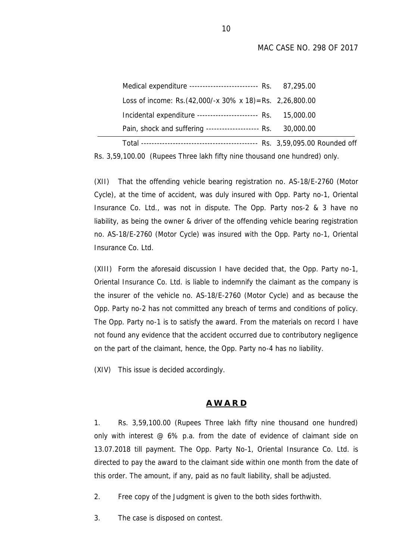MAC CASE NO. 298 OF 2017

| Medical expenditure -------------------------- Rs. 87,295.00                                                                  |  |
|-------------------------------------------------------------------------------------------------------------------------------|--|
| Loss of income: Rs. $(42,000/-x 30\% x 18) =$ Rs. 2,26,800.00<br>Incidental expenditure ----------------------- Rs. 15,000.00 |  |
| Pain, shock and suffering --------------------- Rs. 30,000.00                                                                 |  |
|                                                                                                                               |  |

Rs. 3,59,100.00 (Rupees Three lakh fifty nine thousand one hundred) only.

(XII) That the offending vehicle bearing registration no. AS-18/E-2760 (Motor Cycle), at the time of accident, was duly insured with Opp. Party no-1, Oriental Insurance Co. Ltd., was not in dispute. The Opp. Party nos-2 & 3 have no liability, as being the owner & driver of the offending vehicle bearing registration no. AS-18/E-2760 (Motor Cycle) was insured with the Opp. Party no-1, Oriental Insurance Co. Ltd.

(XIII) Form the aforesaid discussion I have decided that, the Opp. Party no-1, Oriental Insurance Co. Ltd. is liable to indemnify the claimant as the company is the insurer of the vehicle no. AS-18/E-2760 (Motor Cycle) and as because the Opp. Party no-2 has not committed any breach of terms and conditions of policy. The Opp. Party no-1 is to satisfy the award. From the materials on record I have not found any evidence that the accident occurred due to contributory negligence on the part of the claimant, hence, the Opp. Party no-4 has no liability.

(XIV) This issue is decided accordingly.

#### **A W A R D**

1. Rs. 3,59,100.00 (Rupees Three lakh fifty nine thousand one hundred) only with interest @ 6% p.a. from the date of evidence of claimant side on 13.07.2018 till payment. The Opp. Party No-1, Oriental Insurance Co. Ltd. is directed to pay the award to the claimant side within one month from the date of this order. The amount, if any, paid as no fault liability, shall be adjusted.

2. Free copy of the Judgment is given to the both sides forthwith.

3. The case is disposed on contest.